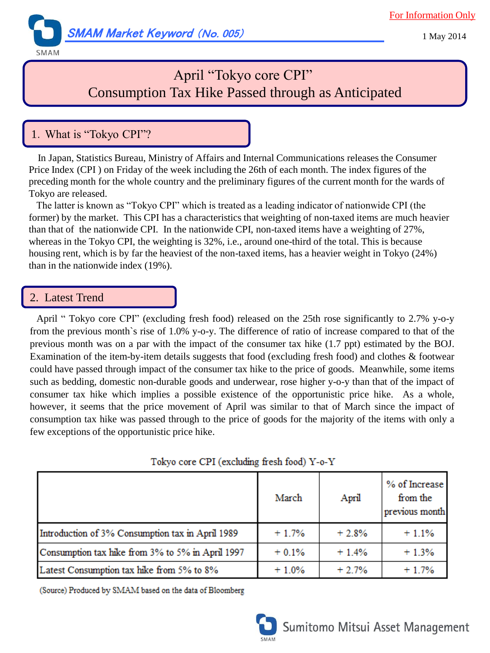For Information Only



1 May 2014

#### SMAM

# April "Tokyo core CPI" Consumption Tax Hike Passed through as Anticipated

## 1.What is "Tokyo CPI"?

In Japan, Statistics Bureau, Ministry of Affairs and Internal Communications releases the Consumer Price Index (CPI ) on Friday of the week including the 26th of each month. The index figures of the preceding month for the whole country and the preliminary figures of the current month for the wards of Tokyo are released.

 The latter is known as "Tokyo CPI" which is treated as a leading indicator of nationwide CPI (the former) by the market. This CPI has a characteristics that weighting of non-taxed items are much heavier than that of the nationwide CPI. In the nationwide CPI, non-taxed items have a weighting of 27%, whereas in the Tokyo CPI, the weighting is 32%, i.e., around one-third of the total. This is because housing rent, which is by far the heaviest of the non-taxed items, has a heavier weight in Tokyo (24%) than in the nationwide index (19%).

### 2. Latest Trend

April " Tokyo core CPI" (excluding fresh food) released on the 25th rose significantly to 2.7% y-o-y from the previous month`s rise of 1.0% y-o-y. The difference of ratio of increase compared to that of the previous month was on a par with the impact of the consumer tax hike (1.7 ppt) estimated by the BOJ. Examination of the item-by-item details suggests that food (excluding fresh food) and clothes & footwear could have passed through impact of the consumer tax hike to the price of goods. Meanwhile, some items such as bedding, domestic non-durable goods and underwear, rose higher y-o-y than that of the impact of consumer tax hike which implies a possible existence of the opportunistic price hike. As a whole, however, it seems that the price movement of April was similar to that of March since the impact of consumption tax hike was passed through to the price of goods for the majority of the items with only a few exceptions of the opportunistic price hike.

| TORYO COLE CFT (EXCREME HESH TOOL) 1-0-1         |         |         |                                             |
|--------------------------------------------------|---------|---------|---------------------------------------------|
|                                                  | March   | April   | % of Increase<br>from the<br>previous month |
| Introduction of 3% Consumption tax in April 1989 | $+1.7%$ | $+2.8%$ | $+1.1%$                                     |
| Consumption tax hike from 3% to 5% in April 1997 | $+0.1%$ | $+1.4%$ | $+1.3%$                                     |
| Latest Consumption tax hike from 5% to 8%        | $+1.0%$ | $+2.7%$ | $+1.7%$                                     |

Tokyo core CDI (excluding fresh food) V-0-V

(Source) Produced by SMAM based on the data of Bloomberg